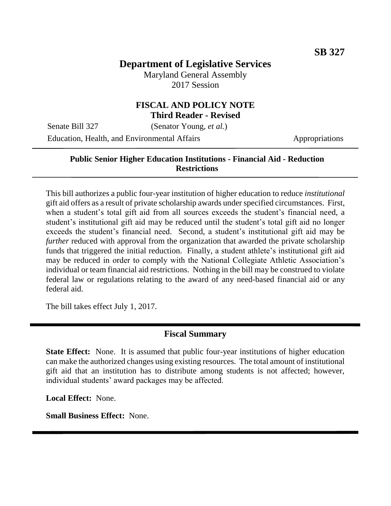# **Department of Legislative Services**

Maryland General Assembly 2017 Session

#### **FISCAL AND POLICY NOTE Third Reader - Revised**

Senate Bill 327 (Senator Young, *et al.*)

Education, Health, and Environmental Affairs Appropriations

### **Public Senior Higher Education Institutions - Financial Aid - Reduction Restrictions**

This bill authorizes a public four-year institution of higher education to reduce *institutional* gift aid offers as a result of private scholarship awards under specified circumstances. First, when a student's total gift aid from all sources exceeds the student's financial need, a student's institutional gift aid may be reduced until the student's total gift aid no longer exceeds the student's financial need. Second, a student's institutional gift aid may be *further* reduced with approval from the organization that awarded the private scholarship funds that triggered the initial reduction. Finally, a student athlete's institutional gift aid may be reduced in order to comply with the National Collegiate Athletic Association's individual or team financial aid restrictions. Nothing in the bill may be construed to violate federal law or regulations relating to the award of any need-based financial aid or any federal aid.

The bill takes effect July 1, 2017.

### **Fiscal Summary**

**State Effect:** None. It is assumed that public four-year institutions of higher education can make the authorized changes using existing resources. The total amount of institutional gift aid that an institution has to distribute among students is not affected; however, individual students' award packages may be affected.

**Local Effect:** None.

**Small Business Effect:** None.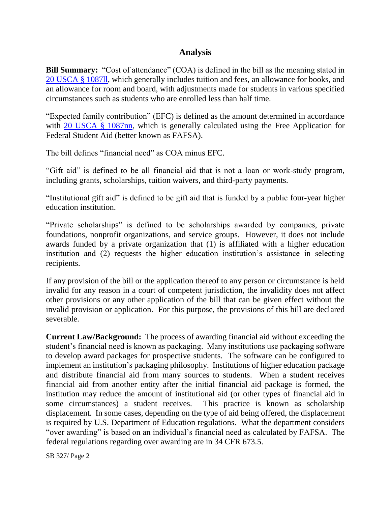## **Analysis**

**Bill Summary:** "Cost of attendance" (COA) is defined in the bill as the meaning stated in 20 [USCA § 1087ll,](https://www.gpo.gov/fdsys/pkg/USCODE-2014-title20/html/USCODE-2014-title20-chap28-subchapIV-partE-sec1087ll.htm) which generally includes tuition and fees, an allowance for books, and an allowance for room and board, with adjustments made for students in various specified circumstances such as students who are enrolled less than half time.

"Expected family contribution" (EFC) is defined as the amount determined in accordance with [20 USCA § 1087nn,](https://www.gpo.gov/fdsys/pkg/USCODE-2014-title20/html/USCODE-2014-title20-chap28-subchapIV-partE-sec1087nn.htm) which is generally calculated using the Free Application for Federal Student Aid (better known as FAFSA).

The bill defines "financial need" as COA minus EFC.

"Gift aid" is defined to be all financial aid that is not a loan or work-study program, including grants, scholarships, tuition waivers, and third-party payments.

"Institutional gift aid" is defined to be gift aid that is funded by a public four-year higher education institution.

"Private scholarships" is defined to be scholarships awarded by companies, private foundations, nonprofit organizations, and service groups. However, it does not include awards funded by a private organization that (1) is affiliated with a higher education institution and (2) requests the higher education institution's assistance in selecting recipients.

If any provision of the bill or the application thereof to any person or circumstance is held invalid for any reason in a court of competent jurisdiction, the invalidity does not affect other provisions or any other application of the bill that can be given effect without the invalid provision or application. For this purpose, the provisions of this bill are declared severable.

**Current Law/Background:** The process of awarding financial aid without exceeding the student's financial need is known as packaging. Many institutions use packaging software to develop award packages for prospective students. The software can be configured to implement an institution's packaging philosophy. Institutions of higher education package and distribute financial aid from many sources to students. When a student receives financial aid from another entity after the initial financial aid package is formed, the institution may reduce the amount of institutional aid (or other types of financial aid in some circumstances) a student receives. This practice is known as scholarship displacement. In some cases, depending on the type of aid being offered, the displacement is required by U.S. Department of Education regulations. What the department considers "over awarding" is based on an individual's financial need as calculated by FAFSA. The federal regulations regarding over awarding are in 34 CFR 673.5.

SB 327/ Page 2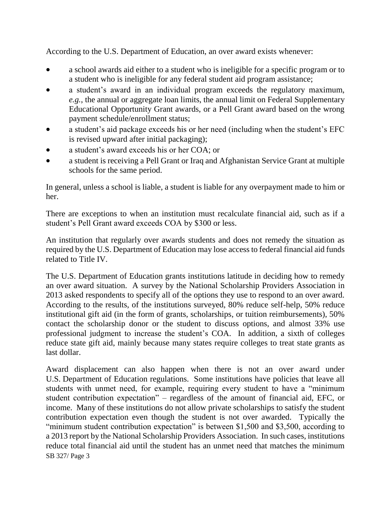According to the U.S. Department of Education, an over award exists whenever:

- a school awards aid either to a student who is ineligible for a specific program or to a student who is ineligible for any federal student aid program assistance;
- a student's award in an individual program exceeds the regulatory maximum, *e.g.*, the annual or aggregate loan limits, the annual limit on Federal Supplementary Educational Opportunity Grant awards, or a Pell Grant award based on the wrong payment schedule/enrollment status;
- a student's aid package exceeds his or her need (including when the student's EFC is revised upward after initial packaging);
- a student's award exceeds his or her COA; or
- a student is receiving a Pell Grant or Iraq and Afghanistan Service Grant at multiple schools for the same period.

In general, unless a school is liable, a student is liable for any overpayment made to him or her.

There are exceptions to when an institution must recalculate financial aid, such as if a student's Pell Grant award exceeds COA by \$300 or less.

An institution that regularly over awards students and does not remedy the situation as required by the U.S. Department of Education may lose access to federal financial aid funds related to Title IV.

The U.S. Department of Education grants institutions latitude in deciding how to remedy an over award situation. A survey by the National Scholarship Providers Association in 2013 asked respondents to specify all of the options they use to respond to an over award. According to the results, of the institutions surveyed, 80% reduce self-help, 50% reduce institutional gift aid (in the form of grants, scholarships, or tuition reimbursements), 50% contact the scholarship donor or the student to discuss options, and almost 33% use professional judgment to increase the student's COA. In addition, a sixth of colleges reduce state gift aid, mainly because many states require colleges to treat state grants as last dollar.

SB 327/ Page 3 Award displacement can also happen when there is not an over award under U.S. Department of Education regulations. Some institutions have policies that leave all students with unmet need, for example, requiring every student to have a "minimum student contribution expectation" – regardless of the amount of financial aid, EFC, or income. Many of these institutions do not allow private scholarships to satisfy the student contribution expectation even though the student is not over awarded. Typically the "minimum student contribution expectation" is between \$1,500 and \$3,500, according to a 2013 report by the National Scholarship Providers Association. In such cases, institutions reduce total financial aid until the student has an unmet need that matches the minimum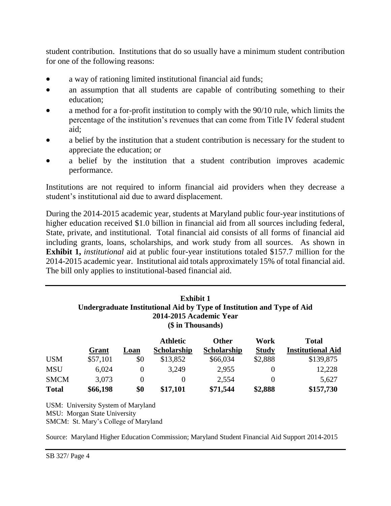student contribution. Institutions that do so usually have a minimum student contribution for one of the following reasons:

- a way of rationing limited institutional financial aid funds;
- an assumption that all students are capable of contributing something to their education;
- a method for a for-profit institution to comply with the 90/10 rule, which limits the percentage of the institution's revenues that can come from Title IV federal student aid;
- a belief by the institution that a student contribution is necessary for the student to appreciate the education; or
- a belief by the institution that a student contribution improves academic performance.

Institutions are not required to inform financial aid providers when they decrease a student's institutional aid due to award displacement.

During the 2014-2015 academic year, students at Maryland public four-year institutions of higher education received \$1.0 billion in financial aid from all sources including federal, State, private, and institutional. Total financial aid consists of all forms of financial aid including grants, loans, scholarships, and work study from all sources. As shown in **Exhibit 1,** *institutional* aid at public four-year institutions totaled \$157.7 million for the 2014-2015 academic year. Institutional aid totals approximately 15% of total financial aid. The bill only applies to institutional-based financial aid.

### **Exhibit 1 Undergraduate Institutional Aid by Type of Institution and Type of Aid 2014-2015 Academic Year (\$ in Thousands)**

|              |          |          | <b>Athletic</b>    | <b>Other</b>       | Work         | <b>Total</b>             |
|--------------|----------|----------|--------------------|--------------------|--------------|--------------------------|
|              | Grant    | Loan     | <b>Scholarship</b> | <b>Scholarship</b> | <b>Study</b> | <b>Institutional Aid</b> |
| <b>USM</b>   | \$57,101 | \$0      | \$13,852           | \$66,034           | \$2,888      | \$139,875                |
| <b>MSU</b>   | 6,024    |          | 3,249              | 2,955              |              | 12,228                   |
| <b>SMCM</b>  | 3,073    | $\theta$ |                    | 2,554              |              | 5,627                    |
| <b>Total</b> | \$66,198 | \$0      | \$17,101           | \$71,544           | \$2,888      | \$157,730                |

USM: University System of Maryland MSU: Morgan State University SMCM: St. Mary's College of Maryland

Source: Maryland Higher Education Commission; Maryland Student Financial Aid Support 2014-2015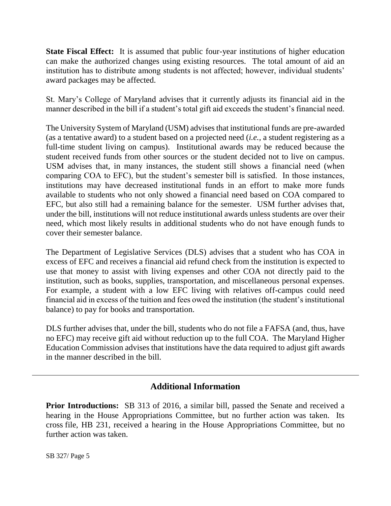**State Fiscal Effect:** It is assumed that public four-year institutions of higher education can make the authorized changes using existing resources. The total amount of aid an institution has to distribute among students is not affected; however, individual students' award packages may be affected.

St. Mary's College of Maryland advises that it currently adjusts its financial aid in the manner described in the bill if a student's total gift aid exceeds the student's financial need.

The University System of Maryland (USM) advises that institutional funds are pre-awarded (as a tentative award) to a student based on a projected need (*i.e.,* a student registering as a full-time student living on campus). Institutional awards may be reduced because the student received funds from other sources or the student decided not to live on campus. USM advises that, in many instances, the student still shows a financial need (when comparing COA to EFC), but the student's semester bill is satisfied. In those instances, institutions may have decreased institutional funds in an effort to make more funds available to students who not only showed a financial need based on COA compared to EFC, but also still had a remaining balance for the semester. USM further advises that, under the bill, institutions will not reduce institutional awards unless students are over their need, which most likely results in additional students who do not have enough funds to cover their semester balance.

The Department of Legislative Services (DLS) advises that a student who has COA in excess of EFC and receives a financial aid refund check from the institution is expected to use that money to assist with living expenses and other COA not directly paid to the institution, such as books, supplies, transportation, and miscellaneous personal expenses. For example, a student with a low EFC living with relatives off-campus could need financial aid in excess of the tuition and fees owed the institution (the student's institutional balance) to pay for books and transportation.

DLS further advises that, under the bill, students who do not file a FAFSA (and, thus, have no EFC) may receive gift aid without reduction up to the full COA. The Maryland Higher Education Commission advises that institutions have the data required to adjust gift awards in the manner described in the bill.

## **Additional Information**

**Prior Introductions:** SB 313 of 2016, a similar bill, passed the Senate and received a hearing in the House Appropriations Committee, but no further action was taken. Its cross file, HB 231, received a hearing in the House Appropriations Committee, but no further action was taken.